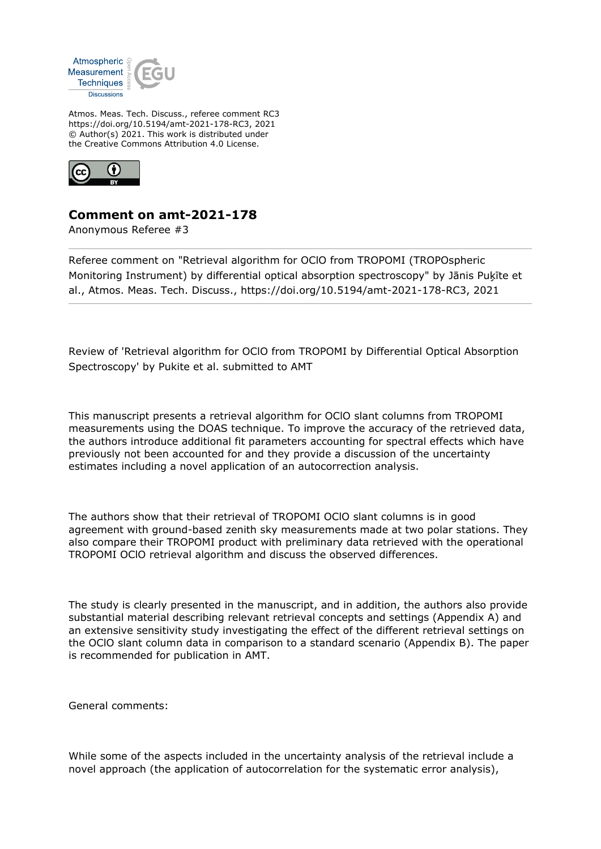

Atmos. Meas. Tech. Discuss., referee comment RC3 https://doi.org/10.5194/amt-2021-178-RC3, 2021 © Author(s) 2021. This work is distributed under the Creative Commons Attribution 4.0 License.



## **Comment on amt-2021-178**

Anonymous Referee #3

Referee comment on "Retrieval algorithm for OClO from TROPOMI (TROPOspheric Monitoring Instrument) by differential optical absorption spectroscopy" by Jānis Puķīte et al., Atmos. Meas. Tech. Discuss., https://doi.org/10.5194/amt-2021-178-RC3, 2021

Review of 'Retrieval algorithm for OClO from TROPOMI by Differential Optical Absorption Spectroscopy' by Pukite et al. submitted to AMT

This manuscript presents a retrieval algorithm for OClO slant columns from TROPOMI measurements using the DOAS technique. To improve the accuracy of the retrieved data, the authors introduce additional fit parameters accounting for spectral effects which have previously not been accounted for and they provide a discussion of the uncertainty estimates including a novel application of an autocorrection analysis.

The authors show that their retrieval of TROPOMI OClO slant columns is in good agreement with ground-based zenith sky measurements made at two polar stations. They also compare their TROPOMI product with preliminary data retrieved with the operational TROPOMI OClO retrieval algorithm and discuss the observed differences.

The study is clearly presented in the manuscript, and in addition, the authors also provide substantial material describing relevant retrieval concepts and settings (Appendix A) and an extensive sensitivity study investigating the effect of the different retrieval settings on the OClO slant column data in comparison to a standard scenario (Appendix B). The paper is recommended for publication in AMT.

General comments:

While some of the aspects included in the uncertainty analysis of the retrieval include a novel approach (the application of autocorrelation for the systematic error analysis),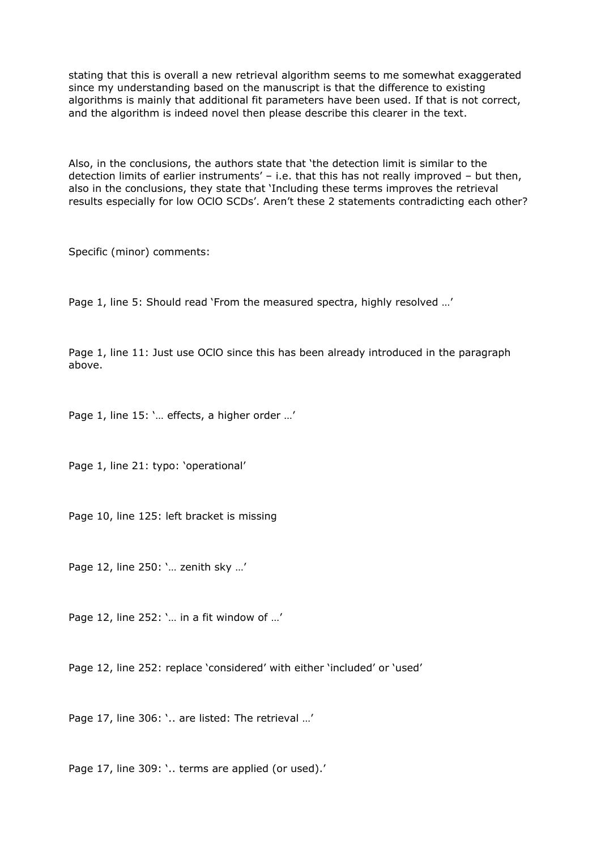stating that this is overall a new retrieval algorithm seems to me somewhat exaggerated since my understanding based on the manuscript is that the difference to existing algorithms is mainly that additional fit parameters have been used. If that is not correct, and the algorithm is indeed novel then please describe this clearer in the text.

Also, in the conclusions, the authors state that 'the detection limit is similar to the detection limits of earlier instruments' – i.e. that this has not really improved – but then, also in the conclusions, they state that 'Including these terms improves the retrieval results especially for low OClO SCDs'. Aren't these 2 statements contradicting each other?

Specific (minor) comments:

Page 1, line 5: Should read 'From the measured spectra, highly resolved …'

Page 1, line 11: Just use OClO since this has been already introduced in the paragraph above.

Page 1, line 15: '… effects, a higher order …'

Page 1, line 21: typo: 'operational'

Page 10, line 125: left bracket is missing

Page 12, line 250: '… zenith sky …'

Page 12, line 252: '… in a fit window of …'

Page 12, line 252: replace 'considered' with either 'included' or 'used'

Page 17, line 306: '.. are listed: The retrieval …'

Page 17, line 309: '.. terms are applied (or used).'